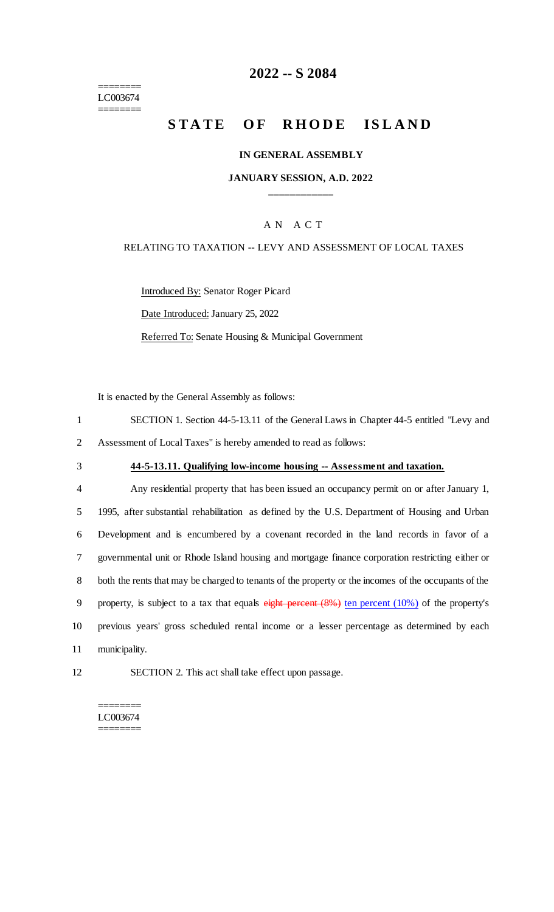======== LC003674 ========

## **2022 -- S 2084**

# **STATE OF RHODE ISLAND**

#### **IN GENERAL ASSEMBLY**

### **JANUARY SESSION, A.D. 2022 \_\_\_\_\_\_\_\_\_\_\_\_**

### A N A C T

#### RELATING TO TAXATION -- LEVY AND ASSESSMENT OF LOCAL TAXES

Introduced By: Senator Roger Picard

Date Introduced: January 25, 2022

Referred To: Senate Housing & Municipal Government

It is enacted by the General Assembly as follows:

| SECTION 1. Section 44-5-13.11 of the General Laws in Chapter 44-5 entitled "Levy and |
|--------------------------------------------------------------------------------------|
| 2 Assessment of Local Taxes" is hereby amended to read as follows:                   |

## 3 **44-5-13.11. Qualifying low-income housing -- Assessment and taxation.**

 Any residential property that has been issued an occupancy permit on or after January 1, 1995, after substantial rehabilitation as defined by the U.S. Department of Housing and Urban Development and is encumbered by a covenant recorded in the land records in favor of a governmental unit or Rhode Island housing and mortgage finance corporation restricting either or both the rents that may be charged to tenants of the property or the incomes of the occupants of the 9 property, is subject to a tax that equals eight percent (8%) ten percent (10%) of the property's previous years' gross scheduled rental income or a lesser percentage as determined by each municipality.

12 SECTION 2. This act shall take effect upon passage.

======== LC003674 ========